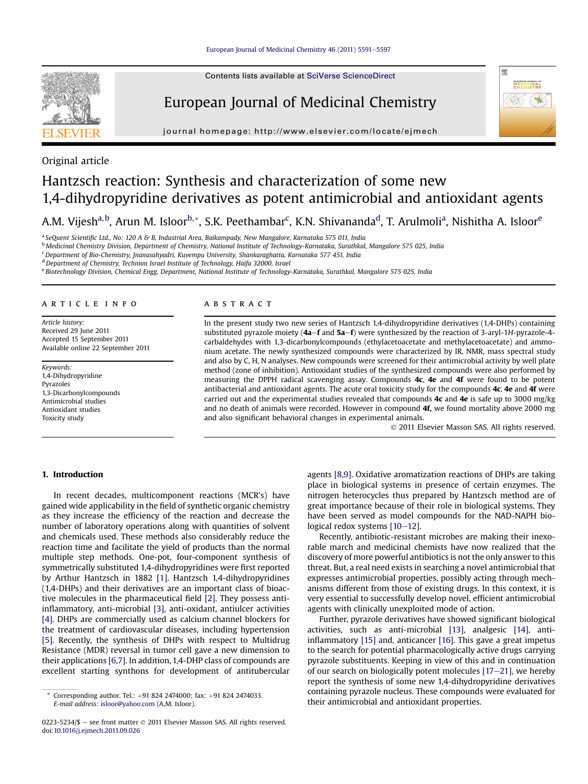Contents lists available at SciVerse ScienceDirect

## European Journal of Medicinal Chemistry

journal homepage:<http://www.elsevier.com/locate/ejmech>





# Hantzsch reaction: Synthesis and characterization of some new 1,4-dihydropyridine derivatives as potent antimicrobial and antioxidant agents

A.M. Vijesh<sup>a,b</sup>, Arun M. Isloor<sup>b,</sup>\*, S.K. Peethambar<sup>c</sup>, K.N. Shivananda<sup>d</sup>, T. Arulmoli<sup>a</sup>, Nishitha A. Isloor<sup>e</sup>

<sup>a</sup> SeQuent Scientific Ltd., No: 120 A & B, Industrial Area, Baikampady, New Mangalore, Karnataka 575 011, India

<sup>b</sup> Medicinal Chemistry Division, Department of Chemistry, National Institute of Technology-Karnataka, Surathkal, Mangalore 575 025, India

<sup>c</sup> Department of Bio-Chemistry, Jnanasahyadri, Kuvempu University, Shankaraghatta, Karnataka 577 451, India

<sup>d</sup> Department of Chemistry, Technion Israel Institute of Technology, Haifa 32000, Israel

<sup>e</sup> Biotechnology Division, Chemical Engg. Department, National Institute of Technology-Karnataka, Surathkal, Mangalore 575 025, India

#### article info

Article history: Received 29 June 2011 Accepted 15 September 2011 Available online 22 September 2011

Keywords: 1,4-Dihydropyridine Pyrazoles 1,3-Dicarbonylcompounds Antimicrobial studies Antioxidant studies Toxicity study

## **ABSTRACT**

In the present study two new series of Hantzsch 1,4-dihydropyridine derivatives (1,4-DHPs) containing substituted pyrazole moiety ( $4a-f$  and  $5a-f$ ) were synthesized by the reaction of 3-aryl-1H-pyrazole-4carbaldehydes with 1,3-dicarbonylcompounds (ethylacetoacetate and methylacetoacetate) and ammonium acetate. The newly synthesized compounds were characterized by IR, NMR, mass spectral study and also by C, H, N analyses. New compounds were screened for their antimicrobial activity by well plate method (zone of inhibition). Antioxidant studies of the synthesized compounds were also performed by measuring the DPPH radical scavenging assay. Compounds 4c, 4e and 4f were found to be potent antibacterial and antioxidant agents. The acute oral toxicity study for the compounds 4c, 4e and 4f were carried out and the experimental studies revealed that compounds  $4c$  and  $4e$  is safe up to 3000 mg/kg and no death of animals were recorded. However in compound 4f, we found mortality above 2000 mg and also significant behavioral changes in experimental animals.

2011 Elsevier Masson SAS. All rights reserved.

啊

EUROPEAN JOURNAL OF<br>MEDICINAL<br>CHEMISTRY  $\leqslant$ 

#### 1. Introduction

In recent decades, multicomponent reactions (MCR's) have gained wide applicability in the field of synthetic organic chemistry as they increase the efficiency of the reaction and decrease the number of laboratory operations along with quantities of solvent and chemicals used. These methods also considerably reduce the reaction time and facilitate the yield of products than the normal multiple step methods. One-pot, four-component synthesis of symmetrically substituted 1,4-dihydropyridines were first reported by Arthur Hantzsch in 1882 [\[1\]](#page-6-0). Hantzsch 1,4-dihydropyridines (1,4-DHPs) and their derivatives are an important class of bioactive molecules in the pharmaceutical field [\[2\]](#page-6-0). They possess antiinflammatory, anti-microbial [\[3\]](#page-6-0), anti-oxidant, antiulcer activities [\[4\]](#page-6-0). DHPs are commercially used as calcium channel blockers for the treatment of cardiovascular diseases, including hypertension [\[5\]](#page-6-0). Recently, the synthesis of DHPs with respect to Multidrug Resistance (MDR) reversal in tumor cell gave a new dimension to their applications [\[6,7\]](#page-6-0). In addition, 1,4-DHP class of compounds are excellent starting synthons for development of antitubercular

agents [\[8,9\].](#page-6-0) Oxidative aromatization reactions of DHPs are taking place in biological systems in presence of certain enzymes. The nitrogen heterocycles thus prepared by Hantzsch method are of great importance because of their role in biological systems. They have been served as model compounds for the NAD-NAPH biological redox systems  $[10-12]$  $[10-12]$  $[10-12]$ .

Recently, antibiotic-resistant microbes are making their inexorable march and medicinal chemists have now realized that the discovery of more powerful antibiotics is not the only answer to this threat. But, a real need exists in searching a novel antimicrobial that expresses antimicrobial properties, possibly acting through mechanisms different from those of existing drugs. In this context, it is very essential to successfully develop novel, efficient antimicrobial agents with clinically unexploited mode of action.

Further, pyrazole derivatives have showed significant biological activities, such as anti-microbial [\[13\],](#page-6-0) analgesic [\[14\]](#page-6-0), antiinflammatory [\[15\]](#page-6-0) and, anticancer [\[16\]](#page-6-0). This gave a great impetus to the search for potential pharmacologically active drugs carrying pyrazole substituents. Keeping in view of this and in continuation of our search on biologically potent molecules  $[17-21]$  $[17-21]$  $[17-21]$ , we hereby report the synthesis of some new 1,4-dihydropyridine derivatives containing pyrazole nucleus. These compounds were evaluated for

their antimicrobial antioxidant properties.<br>their antimicrobial and antioxidant properties.<br>E-mail address: isloor@vahoo.com (A.M. Isloor) E-mail address: [isloor@yahoo.com](mailto:isloor@yahoo.com) (A.M. Isloor).

<sup>0223-5234/\$</sup>  $-$  see front matter  $\odot$  2011 Elsevier Masson SAS. All rights reserved. doi[:10.1016/j.ejmech.2011.09.026](http://dx.doi.org/10.1016/j.ejmech.2011.09.026)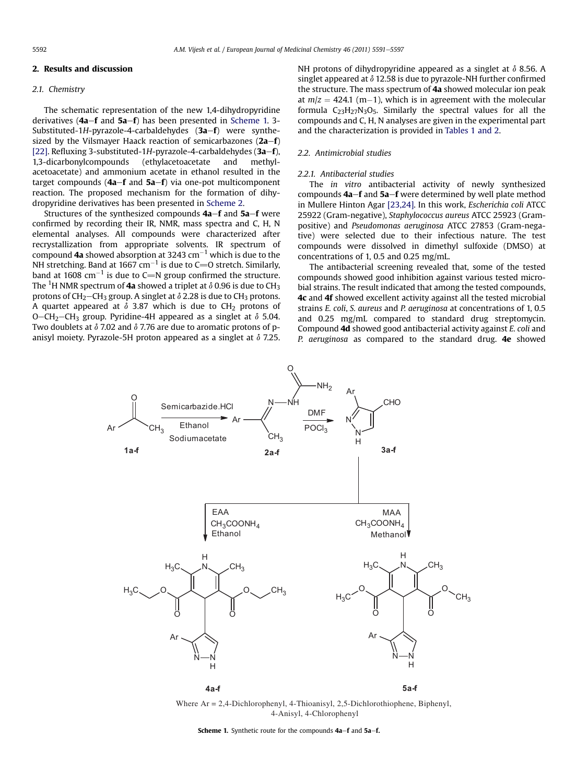## 2. Results and discussion

## 2.1. Chemistry

The schematic representation of the new 1,4-dihydropyridine derivatives ( $4a-f$  and  $5a-f$ ) has been presented in Scheme 1. 3-Substituted-1H-pyrazole-4-carbaldehydes  $(3a-f)$  were synthesized by the Vilsmayer Haack reaction of semicarbazones  $(2a-f)$ [\[22\]](#page-6-0). Refluxing 3-substituted-1H-pyrazole-4-carbaldehydes ( $3a-f$ ), 1,3-dicarbonylcompounds (ethylacetoacetate and methylacetoacetate) and ammonium acetate in ethanol resulted in the target compounds  $(4a-f$  and  $5a-f$ ) via one-pot multicomponent reaction. The proposed mechanism for the formation of dihydropyridine derivatives has been presented in [Scheme 2](#page-2-0).

Structures of the synthesized compounds  $4a-f$  and  $5a-f$  were confirmed by recording their IR, NMR, mass spectra and C, H, N elemental analyses. All compounds were characterized after recrystallization from appropriate solvents. IR spectrum of compound **4a** showed absorption at 3243 cm $^{-1}$  which is due to the NH stretching. Band at 1667 cm $^{-1}$  is due to C=0 stretch. Similarly, band at 1608  $\text{cm}^{-1}$  is due to C=N group confirmed the structure. The  $^1\mathrm{H}$  NMR spectrum of **4a** showed a triplet at  $\delta$  0.96 is due to CH<sub>3</sub> protons of CH<sub>2</sub>-CH<sub>3</sub> group. A singlet at  $\delta$  2.28 is due to CH<sub>3</sub> protons. A quartet appeared at  $\delta$  3.87 which is due to CH<sub>2</sub> protons of O-CH<sub>2</sub>-CH<sub>3</sub> group. Pyridine-4H appeared as a singlet at  $\delta$  5.04. Two doublets at  $\delta$  7.02 and  $\delta$  7.76 are due to aromatic protons of panisyl moiety. Pyrazole-5H proton appeared as a singlet at  $\delta$  7.25. NH protons of dihydropyridine appeared as a singlet at  $\delta$  8.56. A singlet appeared at  $\delta$  12.58 is due to pyrazole-NH further confirmed the structure. The mass spectrum of 4a showed molecular ion peak at  $m/z = 424.1$  (m-1), which is in agreement with the molecular formula  $C_{23}H_{27}N_3O_5$ . Similarly the spectral values for all the compounds and C, H, N analyses are given in the experimental part and the characterization is provided in [Tables 1 and 2.](#page-2-0)

#### 2.2. Antimicrobial studies

#### 2.2.1. Antibacterial studies

The in vitro antibacterial activity of newly synthesized compounds  $4a-f$  and  $5a-f$  were determined by well plate method in Mullere Hinton Agar [\[23,24\]](#page-6-0). In this work, Escherichia coli ATCC 25922 (Gram-negative), Staphylococcus aureus ATCC 25923 (Grampositive) and Pseudomonas aeruginosa ATCC 27853 (Gram-negative) were selected due to their infectious nature. The test compounds were dissolved in dimethyl sulfoxide (DMSO) at concentrations of 1, 0.5 and 0.25 mg/mL.

The antibacterial screening revealed that, some of the tested compounds showed good inhibition against various tested microbial strains. The result indicated that among the tested compounds, 4c and 4f showed excellent activity against all the tested microbial strains E. coli, S. aureus and P. aeruginosa at concentrations of 1, 0.5 and 0.25 mg/mL compared to standard drug streptomycin. Compound 4d showed good antibacterial activity against E. coli and P. aeruginosa as compared to the standard drug. 4e showed



Where Ar = 2,4-Dichlorophenyl, 4-Thioanisyl, 2,5-Dichlorothiophene, Biphenyl, 4-Anisyl, 4-Chlorophenyl

Scheme 1. Synthetic route for the compounds 4a-f and 5a-f.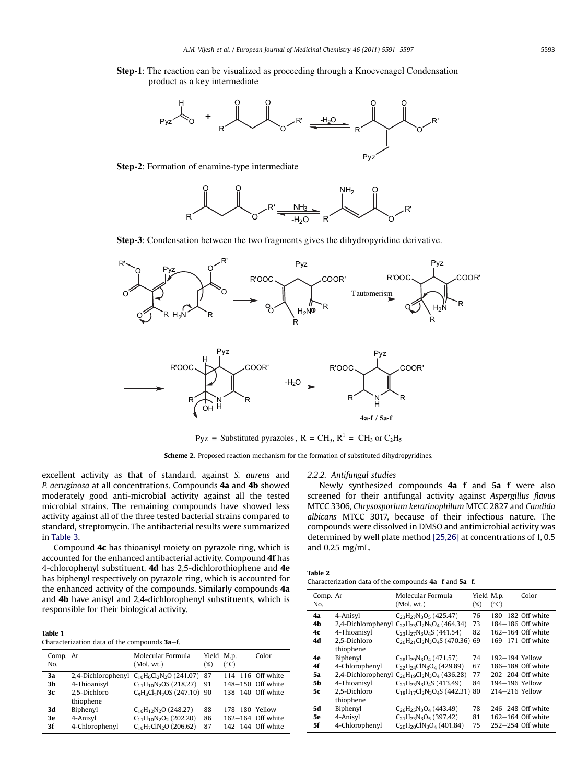<span id="page-2-0"></span>**Step-1**: The reaction can be visualized as proceeding through a Knoevenagel Condensation product as a key intermediate



**Step-2**: Formation of enamine-type intermediate



**Step-3**: Condensation between the two fragments gives the dihydropyridine derivative.



 $Pyz = Substituted pyrazoles, R = CH<sub>3</sub>, R<sup>1</sup> = CH<sub>3</sub> or C<sub>2</sub>H<sub>5</sub>$ 

Scheme 2. Proposed reaction mechanism for the formation of substituted dihydropyridines.

excellent activity as that of standard, against S. aureus and P. aeruginosa at all concentrations. Compounds 4a and 4b showed moderately good anti-microbial activity against all the tested microbial strains. The remaining compounds have showed less activity against all of the three tested bacterial strains compared to standard, streptomycin. The antibacterial results were summarized in [Table 3](#page-3-0).

Compound 4c has thioanisyl moiety on pyrazole ring, which is accounted for the enhanced antibacterial activity. Compound 4f has 4-chlorophenyl substituent, 4d has 2,5-dichlorothiophene and 4e has biphenyl respectively on pyrazole ring, which is accounted for the enhanced activity of the compounds. Similarly compounds 4a and 4b have anisyl and 2,4-dichlorophenyl substituents, which is responsible for their biological activity.

| <b>Table 1</b>                               |  |
|----------------------------------------------|--|
| Characterization data of the compounds 3a–f. |  |

| Comp. Ar<br>No. |                | Molecular Formula<br>(Mol, wt.)                 | Yield M.p.<br>(%) | $(^{\circ}C)$  | Color               |
|-----------------|----------------|-------------------------------------------------|-------------------|----------------|---------------------|
| 3a              |                | 2,4-Dichlorophenyl $C_{10}H_6Cl_2N_2O$ (241.07) | -87               |                | $114-116$ Off white |
| 3b              | 4-Thioanisyl   | $C_{11}H_{10}N_2OS(218.27)$                     | 91                |                | 148-150 Off white   |
| 3c              | 2.5-Dichloro   | $C_8H_4Cl_2N_2OS$ (247.10) 90                   |                   |                | 138-140 Off white   |
|                 | thiophene      |                                                 |                   |                |                     |
| 3d              | Biphenyl       | $C_{16}H_{12}N_2O$ (248.27)                     | 88                | 178-180 Yellow |                     |
| 3e              | 4-Anisyl       | $C_{11}H_{10}N_2O_2$ (202.20)                   | 86                |                | 162-164 Off white   |
| 3f              | 4-Chlorophenyl | $C_{10}H_7CIN_2O(206.62)$                       | 87                |                | 142-144 Off white   |

2.2.2. Antifungal studies

Newly synthesized compounds  $4a-f$  and  $5a-f$  were also screened for their antifungal activity against Aspergillus flavus MTCC 3306, Chrysosporium keratinophilum MTCC 2827 and Candida albicans MTCC 3017, because of their infectious nature. The compounds were dissolved in DMSO and antimicrobial activity was determined by well plate method [\[25,26\]](#page-6-0) at concentrations of 1, 0.5 and 0.25 mg/mL.

| Table |  |
|-------|--|
|-------|--|

Characterization data of the compounds  $4a-f$  and  $5a-f$ .

| Comp. Ar |                | Molecular Formula                                          | Yield M.p. |                | Color                 |
|----------|----------------|------------------------------------------------------------|------------|----------------|-----------------------|
| No.      |                | (Mol, wt.)                                                 | (%)        | $(^{\circ}C)$  |                       |
| 4a       | 4-Anisyl       | $C_{23}H_{27}N_3O_5$ (425.47)                              | 76         |                | 180-182 Off white     |
| 4b       |                | 2,4-Dichlorophenyl $C_{22}H_{23}Cl_{2}N_{3}O_{4}$ (464.34) | 73         |                | 184-186 Off white     |
| 4c       | 4-Thioanisyl   | $C_{23}H_{27}N_3O_4S$ (441.54)                             | 82         |                | 162-164 Off white     |
| 4d       | 2.5-Dichloro   | $C_{20}H_{21}Cl_{2}N_{3}O_{4}S(470.36)$ 69                 |            |                | 169-171 Off white     |
|          | thiophene      |                                                            |            |                |                       |
| 4e       | Biphenyl       | $C_{28}H_{29}N_3O_4$ (471.57)                              | 74         | 192-194 Yellow |                       |
| 4f       | 4-Chlorophenyl | $C_{22}H_{24}CIN_{3}O_{4}$ (429.89)                        | 67         |                | 186-188 Off white     |
| 5a       |                | 2,4-Dichlorophenyl $C_{20}H_{19}Cl_{2}N_{3}O_{4}$ (436.28) | 77         |                | $202 - 204$ Off white |
| 5b       | 4-Thioanisyl   | $C_{21}H_{23}N_3O_4S$ (413.49)                             | 84         | 194-196 Yellow |                       |
| 5с       | 2.5-Dichloro   | $C_{18}H_{17}Cl_2N_3O_4S$ (442.31) 80                      |            | 214-216 Yellow |                       |
|          | thiophene      |                                                            |            |                |                       |
| 5d       | Biphenyl       | $C_{26}H_{25}N_3O_4$ (443.49)                              | 78         |                | $246 - 248$ Off white |
| 5е       | 4-Anisyl       | $C_{21}H_{23}N_3O_5$ (397.42)                              | 81         |                | 162-164 Off white     |
| 5f       | 4-Chlorophenyl | $C_{20}H_{20}C1N_3O_4$ (401.84)                            | 75         |                | $252 - 254$ Off white |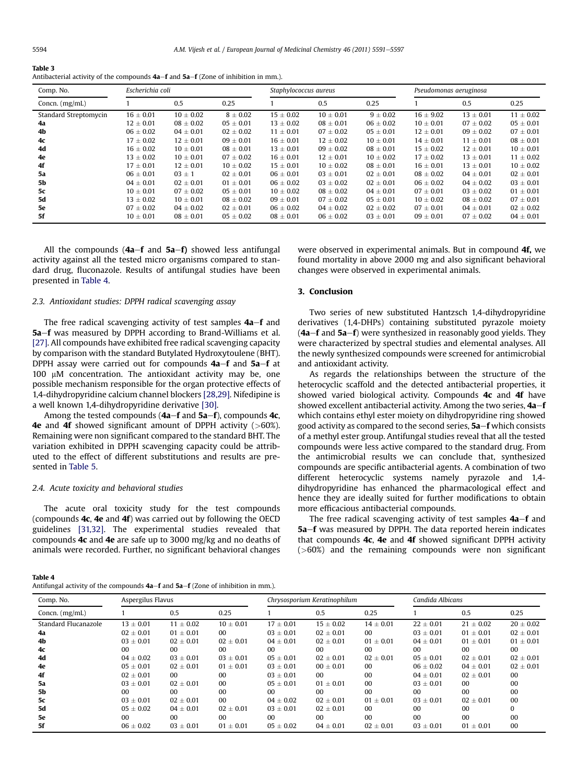<span id="page-3-0"></span>

| Table 3                                                                                |
|----------------------------------------------------------------------------------------|
| Antibacterial activity of the compounds $4a-f$ and $5a-f$ (Zone of inhibition in mm.). |

| Comp. No.             | Escherichia coli |               |               | Staphylococcus aureus |               |               | Pseudomonas aeruginosa |               |               |
|-----------------------|------------------|---------------|---------------|-----------------------|---------------|---------------|------------------------|---------------|---------------|
| Concn. $(mg/mL)$      |                  | 0.5           | 0.25          |                       | 0.5           | 0.25          |                        | 0.5           | 0.25          |
| Standard Streptomycin | $16 \pm 0.01$    | $10 \pm 0.02$ | $8 \pm 0.02$  | $15 \pm 0.02$         | $10 \pm 0.01$ | $9 \pm 0.02$  | $16 \pm 9.02$          | $13 \pm 0.01$ | $11 \pm 0.02$ |
| 4a                    | $12 \pm 0.01$    | $08 \pm 0.02$ | $05 \pm 0.01$ | $13 \pm 0.02$         | $08 \pm 0.01$ | $06 \pm 0.02$ | $10 \pm 0.01$          | $07 \pm 0.02$ | $05 \pm 0.01$ |
| 4b                    | $06 \pm 0.02$    | $04 \pm 0.01$ | $02 \pm 0.02$ | $11 \pm 0.01$         | $07 \pm 0.02$ | $05 \pm 0.01$ | $12 \pm 0.01$          | $09 \pm 0.02$ | $07 \pm 0.01$ |
| 4c                    | $17 \pm 0.02$    | $12 \pm 0.01$ | $09 \pm 0.01$ | $16 \pm 0.01$         | $12 \pm 0.02$ | $10 \pm 0.01$ | $14 \pm 0.01$          | $11 \pm 0.01$ | $08 \pm 0.01$ |
| 4d                    | $16 \pm 0.02$    | $10 \pm 0.01$ | $08 \pm 0.01$ | $13 \pm 0.01$         | $09 \pm 0.02$ | $08 \pm 0.01$ | $15 \pm 0.02$          | $12 \pm 0.01$ | $10 \pm 0.01$ |
| 4e                    | $13 \pm 0.02$    | $10 \pm 0.01$ | $07 \pm 0.02$ | $16 \pm 0.01$         | $12 \pm 0.01$ | $10 \pm 0.02$ | $17 \pm 0.02$          | $13 \pm 0.01$ | $11 \pm 0.02$ |
| 4f                    | $17 \pm 0.01$    | $12 \pm 0.01$ | $10 \pm 0.02$ | $15 \pm 0.01$         | $10 \pm 0.02$ | $08 \pm 0.01$ | $16 \pm 0.01$          | $13 \pm 0.01$ | $10 \pm 0.02$ |
| 5a                    | $06 \pm 0.01$    | $03 \pm 1$    | $02 \pm 0.01$ | $06 \pm 0.01$         | $03 \pm 0.01$ | $02 \pm 0.01$ | $08 \pm 0.02$          | $04 \pm 0.01$ | $02 \pm 0.01$ |
| <b>5b</b>             | $04 \pm 0.01$    | $02 \pm 0.01$ | $01 \pm 0.01$ | $06 \pm 0.02$         | $03 \pm 0.02$ | $02 \pm 0.01$ | $06 \pm 0.02$          | $04 \pm 0.02$ | $03 \pm 0.01$ |
| 5c                    | $10 \pm 0.01$    | $07 \pm 0.02$ | $05 \pm 0.01$ | $10 \pm 0.02$         | $08 \pm 0.02$ | $04 \pm 0.01$ | $07 \pm 0.01$          | $03 \pm 0.02$ | $01 \pm 0.01$ |
| <b>5d</b>             | $13 \pm 0.02$    | $10 \pm 0.01$ | $08 \pm 0.02$ | $09 \pm 0.01$         | $07 \pm 0.02$ | $05 \pm 0.01$ | $10 \pm 0.02$          | $08 \pm 0.02$ | $07 \pm 0.01$ |
| 5e                    | $07 \pm 0.02$    | $04 \pm 0.02$ | $02 \pm 0.01$ | $06 \pm 0.02$         | $04 \pm 0.02$ | $02 \pm 0.02$ | $07 \pm 0.01$          | $04 \pm 0.01$ | $02 \pm 0.02$ |
| 5f                    | $10 \pm 0.01$    | $08 \pm 0.01$ | $05 \pm 0.02$ | $08 \pm 0.01$         | $06 \pm 0.02$ | $03 \pm 0.01$ | $09 \pm 0.01$          | $07 \pm 0.02$ | $04 \pm 0.01$ |

All the compounds  $(4a-f$  and  $5a-f$ ) showed less antifungal activity against all the tested micro organisms compared to standard drug, fluconazole. Results of antifungal studies have been presented in Table 4.

#### 2.3. Antioxidant studies: DPPH radical scavenging assay

The free radical scavenging activity of test samples  $4a-f$  and 5a–f was measured by DPPH according to Brand-Williams et al. [\[27\]](#page-6-0). All compounds have exhibited free radical scavenging capacity by comparison with the standard Butylated Hydroxytoulene (BHT). DPPH assay were carried out for compounds  $4a-f$  and  $5a-f$  at  $100$   $\mu$ M concentration. The antioxidant activity may be, one possible mechanism responsible for the organ protective effects of 1,4-dihydropyridine calcium channel blockers [\[28,29\].](#page-6-0) Nifedipine is a well known 1,4-dihydropyridine derivative [\[30\].](#page-6-0)

Among the tested compounds  $(4a-f$  and  $5a-f$ ), compounds  $4c$ , **4e** and **4f** showed significant amount of DPPH activity  $(>\,60\%)$ . Remaining were non significant compared to the standard BHT. The variation exhibited in DPPH scavenging capacity could be attributed to the effect of different substitutions and results are presented in [Table 5](#page-4-0).

#### 2.4. Acute toxicity and behavioral studies

The acute oral toxicity study for the test compounds (compounds 4c, 4e and 4f) was carried out by following the OECD guidelines [\[31,32\]](#page-6-0). The experimental studies revealed that compounds 4c and 4e are safe up to 3000 mg/kg and no deaths of animals were recorded. Further, no significant behavioral changes were observed in experimental animals. But in compound 4f, we found mortality in above 2000 mg and also significant behavioral changes were observed in experimental animals.

## 3. Conclusion

Two series of new substituted Hantzsch 1,4-dihydropyridine derivatives (1,4-DHPs) containing substituted pyrazole moiety  $(4a-f$  and  $5a-f$ ) were synthesized in reasonably good yields. They were characterized by spectral studies and elemental analyses. All the newly synthesized compounds were screened for antimicrobial and antioxidant activity.

As regards the relationships between the structure of the heterocyclic scaffold and the detected antibacterial properties, it showed varied biological activity. Compounds 4c and 4f have showed excellent antibacterial activity. Among the two series,  $4a-f$ which contains ethyl ester moiety on dihydropyridine ring showed good activity as compared to the second series,  $5a-f$  which consists of a methyl ester group. Antifungal studies reveal that all the tested compounds were less active compared to the standard drug. From the antimicrobial results we can conclude that, synthesized compounds are specific antibacterial agents. A combination of two different heterocyclic systems namely pyrazole and 1,4 dihydropyridine has enhanced the pharmacological effect and hence they are ideally suited for further modifications to obtain more efficacious antibacterial compounds.

The free radical scavenging activity of test samples  $4a-f$  and 5a-f was measured by DPPH. The data reported herein indicates that compounds 4c, 4e and 4f showed significant DPPH activity (>60%) and the remaining compounds were non significant

Table 4

| Antifungal activity of the compounds $4a-f$ and $5a-f$ (Zone of inhibition in mm.). |
|-------------------------------------------------------------------------------------|
|-------------------------------------------------------------------------------------|

| Comp. No.            | Aspergilus Flavus |               |                 | Chrysosporium Keratinophilum |                 |                 | Candida Albicans |                 |               |
|----------------------|-------------------|---------------|-----------------|------------------------------|-----------------|-----------------|------------------|-----------------|---------------|
| Concn. $(mg/mL)$     |                   | 0.5           | 0.25            |                              | 0.5             | 0.25            |                  | 0.5             | 0.25          |
| Standard Flucanazole | $13 \pm 0.01$     | $11 \pm 0.02$ | $10 \pm 0.01$   | $17 \pm 0.01$                | $15 \pm 0.02$   | $14 \pm 0.01$   | $22 \pm 0.01$    | $21 \pm 0.02$   | $20 \pm 0.02$ |
| 4a                   | $02 \pm 0.01$     | $01 \pm 0.01$ | 00 <sup>1</sup> | $03 \pm 0.01$                | $02 \pm 0.01$   | 00 <sup>1</sup> | $03 \pm 0.01$    | $01 \pm 0.01$   | $02 \pm 0.01$ |
| 4b                   | $03 \pm 0.01$     | $02 + 0.01$   | $02 \pm 0.01$   | $04 \pm 0.01$                | $02 \pm 0.01$   | $01 \pm 0.01$   | $04 \pm 0.01$    | $01 \pm 0.01$   | $01 + 0.01$   |
| 4c                   | 00                | $00 \,$       | 00 <sup>1</sup> | 00 <sup>1</sup>              | 00 <sup>1</sup> | 00 <sup>1</sup> | 00 <sup>1</sup>  | 00 <sup>1</sup> | 00            |
| 4d                   | $04 \pm 0.02$     | $03 \pm 0.01$ | $03 \pm 0.01$   | $05 \pm 0.01$                | $02 \pm 0.01$   | $02 \pm 0.01$   | $05 \pm 0.01$    | $02 \pm 0.01$   | $02 + 0.01$   |
| 4e                   | $05 \pm 0.01$     | $02 + 0.01$   | $01 \pm 0.01$   | $03 \pm 0.01$                | $00 \pm 0.01$   | 00 <sup>2</sup> | $06 \pm 0.02$    | $04 \pm 0.01$   | $02 + 0.01$   |
| 4f                   | $02 + 0.01$       | $00 \,$       | 00              | $03 \pm 0.01$                | 00              | 0 <sub>0</sub>  | $04 \pm 0.01$    | $02 \pm 0.01$   | 00            |
| 5a                   | $03 \pm 0.01$     | $02 \pm 0.01$ | 00              | $05 \pm 0.01$                | $01 \pm 0.01$   | 00              | $03 \pm 0.01$    | 00              | 00            |
| 5b                   | 00                | $00 \,$       | 00              | $00 \,$                      | 00              | 0 <sub>0</sub>  | 00 <sup>1</sup>  | 0 <sub>0</sub>  | 00            |
| 5c                   | $03 + 0.01$       | $02 + 0.01$   | 0 <sub>0</sub>  | $04 \pm 0.02$                | $02 \pm 0.01$   | $01 \pm 0.01$   | $03 \pm 0.01$    | $02 \pm 0.01$   | 00            |
| 5d                   | $0.5 + 0.02$      | $04 \pm 0.01$ | $02 \pm 0.01$   | $03 \pm 0.01$                | $02 + 0.01$     | 00              | 00               | 00              | 0             |
| 5e                   | 00                | 00            | 00 <sup>2</sup> | $00 \,$                      | 00              | 00 <sup>2</sup> | 00               | 00              | 00            |
| 5f                   | $06 \pm 0.02$     | $03 \pm 0.01$ | $01 \pm 0.01$   | $05 \pm 0.02$                | $04 \pm 0.01$   | $02 \pm 0.01$   | $03 \pm 0.01$    | $01 \pm 0.01$   | 00            |
|                      |                   |               |                 |                              |                 |                 |                  |                 |               |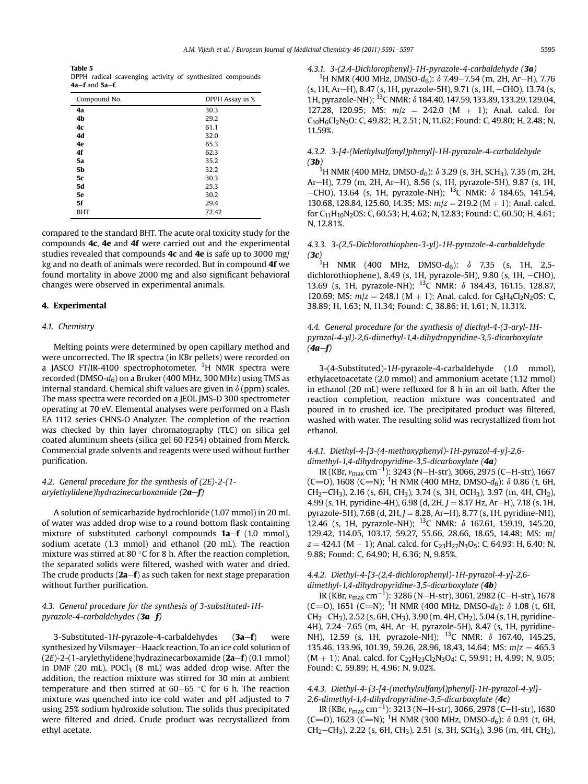<span id="page-4-0"></span>Table 5 DPPH radical scavenging activity of synthesized compounds  $4a-f$  and  $5a-f$ .

| DPPH Assay in % |
|-----------------|
| 30.3            |
| 29.2            |
| 61.1            |
| 32.0            |
| 65.3            |
| 62.3            |
| 35.2            |
| 32.2            |
| 30.3            |
| 25.3            |
| 30.2            |
| 29.4            |
| 72.42           |
|                 |

compared to the standard BHT. The acute oral toxicity study for the compounds 4c, 4e and 4f were carried out and the experimental studies revealed that compounds  $4c$  and  $4e$  is safe up to 3000 mg/ kg and no death of animals were recorded. But in compound 4f we found mortality in above 2000 mg and also significant behavioral changes were observed in experimental animals.

#### 4. Experimental

#### 4.1. Chemistry

Melting points were determined by open capillary method and were uncorrected. The IR spectra (in KBr pellets) were recorded on a JASCO FT/IR-4100 spectrophotometer. <sup>1</sup>H NMR spectra were recorded (DMSO- $d_6$ ) on a Bruker (400 MHz, 300 MHz) using TMS as internal standard. Chemical shift values are given in  $\delta$  (ppm) scales. The mass spectra were recorded on a JEOL JMS-D 300 spectrometer operating at 70 eV. Elemental analyses were performed on a Flash EA 1112 series CHNS-O Analyzer. The completion of the reaction was checked by thin layer chromatography (TLC) on silica gel coated aluminum sheets (silica gel 60 F254) obtained from Merck. Commercial grade solvents and reagents were used without further purification.

## 4.2. General procedure for the synthesis of (2E)-2-(1 arylethylidene)hydrazinecarboxamide  $(2a-f)$

A solution of semicarbazide hydrochloride (1.07 mmol) in 20 mL of water was added drop wise to a round bottom flask containing mixture of substituted carbonyl compounds  $1a-f$  (1.0 mmol), sodium acetate (1.3 mmol) and ethanol (20 mL). The reaction mixture was stirred at 80 $\degree$ C for 8 h. After the reaction completion, the separated solids were filtered, washed with water and dried. The crude products  $(2a-f)$  as such taken for next stage preparation without further purification.

## 4.3. General procedure for the synthesis of 3-substituted-1Hpyrazole-4-carbaldehydes (3a-f)

3-Substituted-1H-pyrazole-4-carbaldehydes  $(3a-f)$  were synthesized by Vilsmayer-Haack reaction. To an ice cold solution of  $(2E)$ -2-(1-arylethylidene)hydrazinecarboxamide  $(2a-f)$  (0.1 mmol) in DMF (20 mL),  $POCI<sub>3</sub>$  (8 mL) was added drop wise. After the addition, the reaction mixture was stirred for 30 min at ambient temperature and then stirred at  $60-65$  °C for 6 h. The reaction mixture was quenched into ice cold water and pH adjusted to 7 using 25% sodium hydroxide solution. The solids thus precipitated were filtered and dried. Crude product was recrystallized from ethyl acetate.

#### 4.3.1. 3-(2,4-Dichlorophenyl)-1H-pyrazole-4-carbaldehyde (3a)

<sup>1</sup>H NMR (400 MHz, DMSO- $d_6$ ):  $\delta$  7.49–7.54 (m, 2H, Ar–H), 7.76  $(s, 1H, Ar-H)$ , 8.47  $(s, 1H, pyrazole-5H)$ , 9.71  $(s, 1H, -CHO)$ , 13.74  $(s,$ 1H, pyrazole-NH); 13C NMR: d 184.40, 147.59, 133.89, 133.29, 129.04, 127.28, 120.95; MS:  $m/z = 242.0$  (M + 1); Anal. calcd. for C10H6Cl2N2O: C, 49.82; H, 2.51; N, 11.62; Found: C, 49.80; H, 2.48; N, 11.59%.

## 4.3.2. 3-[4-(Methylsulfanyl)phenyl]-1H-pyrazole-4-carbaldehyde (3b)

<sup>1</sup>H NMR (400 MHz, DMSO-d<sub>6</sub>):  $\delta$  3.29 (s, 3H, SCH<sub>3</sub>), 7.35 (m, 2H, Ar-H), 7.79 (m, 2H, Ar-H), 8.56 (s, 1H, pyrazole-5H), 9.87 (s, 1H,  $-$ CHO), 13.64 (s, 1H, pyrazole-NH); <sup>13</sup>C NMR: δ 184.65, 141.54, 130.68, 128.84, 125.60, 14.35; MS:  $m/z = 219.2$  (M  $+$  1); Anal. calcd. for  $C_{11}H_{10}N_2OS$ : C, 60.53; H, 4.62; N, 12.83; Found: C, 60.50; H, 4.61; N, 12.81%.

## 4.3.3. 3-(2,5-Dichlorothiophen-3-yl)-1H-pyrazole-4-carbaldehyde (**3c**)<br><sup>1</sup>H NMR (400 MHz, DMSO-d<sub>6</sub>):  $\delta$  7.35 (s, 1H, 2,5-

dichlorothiophene), 8.49 (s, 1H, pyrazole-5H), 9.80 (s, 1H,  $-CHO$ ), 13.69 (s, 1H, pyrazole-NH); <sup>13</sup>C NMR: δ 184.43, 161.15, 128.87, 120.69; MS:  $m/z = 248.1$  (M + 1); Anal. calcd. for C<sub>8</sub>H<sub>4</sub>Cl<sub>2</sub>N<sub>2</sub>OS: C, 38.89; H, 1.63; N, 11.34; Found: C, 38.86; H, 1.61; N, 11.31%.

## 4.4. General procedure for the synthesis of diethyl-4-(3-aryl-1Hpyrazol-4-yl)-2,6-dimethyl-1,4-dihydropyridine-3,5-dicarboxylate  $(4a-f)$

3-(4-Substituted)-1H-pyrazole-4-carbaldehyde (1.0 mmol), ethylacetoacetate (2.0 mmol) and ammonium acetate (1.12 mmol) in ethanol (20 mL) were refluxed for 8 h in an oil bath. After the reaction completion, reaction mixture was concentrated and poured in to crushed ice. The precipitated product was filtered, washed with water. The resulting solid was recrystallized from hot ethanol.

## 4.4.1. Diethyl-4-[3-(4-methoxyphenyl)-1H-pyrazol-4-y]-2,6 dimethyl-1,4-dihydropyridine-3,5-dicarboxylate (4a)

IR (KBr,  $\nu_{\text{max}}$  cm<sup>-1</sup>): 3243 (N-H-str), 3066, 2975 (C-H-str), 1667 (C=O), 1608 (C=N); <sup>1</sup>H NMR (400 MHz, DMSO- $d_6$ ):  $\delta$  0.86 (t, 6H,  $CH_2-CH_3$ ), 2.16 (s, 6H, CH<sub>3</sub>), 3.74 (s, 3H, OCH<sub>3</sub>), 3.97 (m, 4H, CH<sub>2</sub>), 4.99 (s, 1H, pyridine-4H), 6.98 (d, 2H,  $J = 8.17$  Hz, Ar-H), 7.18 (s, 1H, pyrazole-5H), 7.68 (d, 2H,  $J = 8.28$ , Ar-H), 8.77 (s, 1H, pyridine-NH), 12.46 (s, 1H, pyrazole-NH); 13C NMR: d 167.61, 159.19, 145.20, 129.42, 114.05, 103.17, 59.27, 55.66, 28.66, 18.65, 14.48; MS: m/  $z = 424.1$  (M  $-$  1); Anal. calcd. for C<sub>23</sub>H<sub>27</sub>N<sub>3</sub>O<sub>5</sub>: C, 64.93; H, 6.40; N, 9.88; Found: C, 64.90; H, 6.36; N, 9.85%.

## 4.4.2. Diethyl-4-[3-(2,4-dichlorophenyl)-1H-pyrazol-4-y]-2,6 dimethyl-1,4-dihydropyridine-3,5-dicarboxylate (4b)

IR (KBr,  $v_{\text{max}}$  cm<sup>-1</sup>): 3286 (N-H-str), 3061, 2982 (C-H-str), 1678 (C=O), 1651 (C=N); <sup>1</sup>H NMR (400 MHz, DMSO- $d_6$ ):  $\delta$  1.08 (t, 6H, CH<sub>2</sub>-CH<sub>3</sub>), 2.52 (s, 6H, CH<sub>3</sub>), 3.90 (m, 4H, CH<sub>2</sub>), 5.04 (s, 1H, pyridine-4H), 7.24-7.65 (m, 4H, Ar-H, pyrazole-5H), 8.47 (s, 1H, pyridine-NH), 12.59 (s, 1H, pyrazole-NH); <sup>13</sup>C NMR:  $\delta$  167.40, 145.25, 135.46, 133.96, 101.39, 59.26, 28.96, 18.43, 14.64; MS:  $m/z = 465.3$  $(M + 1)$ ; Anal. calcd. for C<sub>22</sub>H<sub>23</sub>Cl<sub>2</sub>N<sub>3</sub>O<sub>4</sub>: C, 59.91; H, 4.99; N, 9.05; Found: C, 59.89; H, 4.96; N, 9.02%.

## 4.4.3. Diethyl-4-{3-[4-(methylsulfanyl)phenyl]-1H-pyrazol-4-yl}- 2,6-dimethyl-1,4-dihydropyridine-3,5-dicarboxylate (4c)

IR (KBr,  $v_{\text{max}}$  cm<sup>-1</sup>): 3213 (N-H-str), 3066, 2978 (C-H-str), 1680 (C=O), 1623 (C=N); <sup>1</sup>H NMR (300 MHz, DMSO- $d_6$ ):  $\delta$  0.91 (t, 6H,  $CH_2-CH_3$ ), 2.22 (s, 6H, CH<sub>3</sub>), 2.51 (s, 3H, SCH<sub>3</sub>), 3.96 (m, 4H, CH<sub>2</sub>),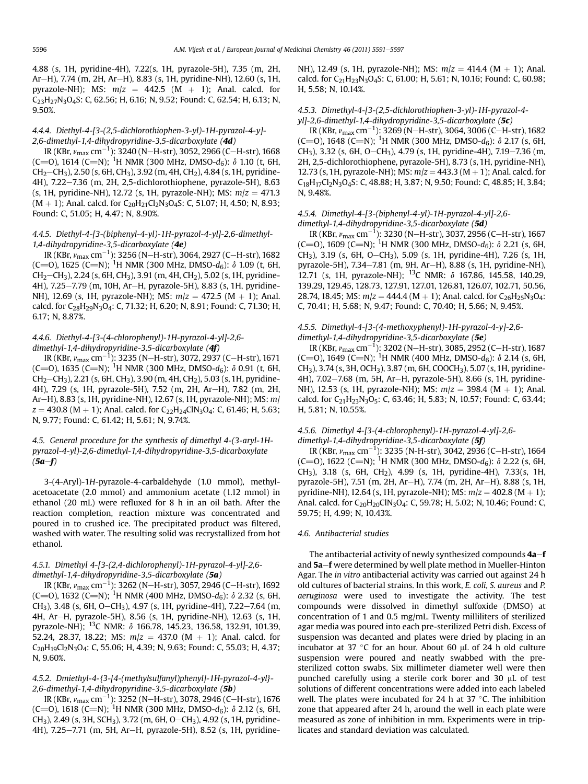4.88 (s, 1H, pyridine-4H), 7.22(s, 1H, pyrazole-5H), 7.35 (m, 2H, Ar-H), 7.74 (m, 2H, Ar-H), 8.83 (s, 1H, pyridine-NH), 12.60 (s, 1H, pyrazole-NH); MS:  $m/z = 442.5$  (M + 1); Anal. calcd. for C23H27N3O4S: C, 62.56; H, 6.16; N, 9.52; Found: C, 62.54; H, 6.13; N, 9.50%.

## 4.4.4. Diethyl-4-[3-(2,5-dichlorothiophen-3-yl)-1H-pyrazol-4-y]- 2,6-dimethyl-1,4-dihydropyridine-3,5-dicarboxylate (4d)

IR (KBr,  $\nu_{\rm max}$  cm $^{-1}$ ): 3240 (N—H-str), 3052, 2966 (C—H-str), 1668 (C=O), 1614 (C=N); <sup>1</sup>H NMR (300 MHz, DMSO- $d_6$ ):  $\delta$  1.10 (t, 6H,  $CH_2-CH_3$ ), 2.50 (s, 6H, CH<sub>3</sub>), 3.92 (m, 4H, CH<sub>2</sub>), 4.84 (s, 1H, pyridine-4H), 7.22-7.36 (m, 2H, 2,5-dichlorothiophene, pyrazole-5H), 8.63 (s, 1H, pyridine-NH), 12.72 (s, 1H, pyrazole-NH); MS:  $m/z = 471.3$  $(M + 1)$ ; Anal. calcd. for C<sub>20</sub>H<sub>21</sub>Cl<sub>2</sub>N<sub>3</sub>O<sub>4</sub>S: C, 51.07; H, 4.50; N, 8.93; Found: C, 51.05; H, 4.47; N, 8.90%.

#### 4.4.5. Diethyl-4-[3-(biphenyl-4-yl)-1H-pyrazol-4-yl]-2,6-dimethyl-1,4-dihydropyridine-3,5-dicarboxylate (4e)

IR (KBr,  $\nu_{\rm max}$  cm $^{-1}$ ): 3256 (N—H-str), 3064, 2927 (C—H-str), 1682 (C=O), 1625 (C=N); <sup>1</sup>H NMR (300 MHz, DMSO- $d_6$ ):  $\delta$  1.09 (t, 6H,  $CH_2-CH_3$ ), 2.24 (s, 6H, CH<sub>3</sub>), 3.91 (m, 4H, CH<sub>2</sub>), 5.02 (s, 1H, pyridine-4H), 7.25–7.79 (m, 10H, Ar-H, pyrazole-5H), 8.83 (s, 1H, pyridine-NH), 12.69 (s, 1H, pyrazole-NH); MS:  $m/z = 472.5$  (M  $+$  1); Anal. calcd. for C<sub>28</sub>H<sub>29</sub>N<sub>3</sub>O<sub>4</sub>: C, 71.32; H, 6.20; N, 8.91; Found: C, 71.30; H, 6.17; N, 8.87%.

## 4.4.6. Diethyl-4-[3-(4-chlorophenyl)-1H-pyrazol-4-yl]-2,6 dimethyl-1,4-dihydropyridine-3,5-dicarboxylate (4f)

IR (KBr,  $\nu_{\rm max}$  cm $^{-1}$ ): 3235 (N–H-str), 3072, 2937 (C–H-str), 1671 (C=O), 1635 (C=N); <sup>1</sup>H NMR (300 MHz, DMSO- $d_6$ ):  $\delta$  0.91 (t, 6H,  $CH_2-CH_3$ ), 2.21 (s, 6H, CH<sub>3</sub>), 3.90 (m, 4H, CH<sub>2</sub>), 5.03 (s, 1H, pyridine-4H), 7.29 (s, 1H, pyrazole-5H), 7.52 (m, 2H, Ar-H), 7.82 (m, 2H, Ar-H), 8.83 (s, 1H, pyridine-NH), 12.67 (s, 1H, pyrazole-NH); MS: m/  $z = 430.8$  (M + 1); Anal. calcd. for C<sub>22</sub>H<sub>24</sub>ClN<sub>3</sub>O<sub>4</sub>: C, 61.46; H, 5.63; N, 9.77; Found: C, 61.42; H, 5.61; N, 9.74%.

## 4.5. General procedure for the synthesis of dimethyl 4-(3-aryl-1Hpyrazol-4-yl)-2,6-dimethyl-1,4-dihydropyridine-3,5-dicarboxylate  $(5a-f)$

3-(4-Aryl)-1H-pyrazole-4-carbaldehyde (1.0 mmol), methylacetoacetate (2.0 mmol) and ammonium acetate (1.12 mmol) in ethanol (20 mL) were refluxed for 8 h in an oil bath. After the reaction completion, reaction mixture was concentrated and poured in to crushed ice. The precipitated product was filtered, washed with water. The resulting solid was recrystallized from hot ethanol.

#### 4.5.1. Dimethyl 4-[3-(2,4-dichlorophenyl)-1H-pyrazol-4-yl]-2,6 dimethyl-1,4-dihydropyridine-3,5-dicarboxylate (5a)

IR (KBr,  $\nu_{\rm max}$  cm $^{-1}$ ): 3262 (N—H-str), 3057, 2946 (C—H-str), 1692 (C=O), 1632 (C=N); <sup>1</sup>H NMR (400 MHz, DMSO-d<sub>6</sub>):  $\delta$  2.32 (s, 6H, CH<sub>3</sub>), 3.48 (s, 6H, O-CH<sub>3</sub>), 4.97 (s, 1H, pyridine-4H), 7.22-7.64 (m, 4H, Ar-H, pyrazole-5H), 8.56 (s, 1H, pyridine-NH), 12.63 (s, 1H, pyrazole-NH); 13C NMR: d 166.78, 145.23, 136.58, 132.91, 101.39, 52.24, 28.37, 18.22; MS:  $m/z = 437.0$  (M  $+ 1$ ); Anal. calcd. for  $C_{20}H_{19}Cl_{2}N_{3}O_{4}$ : C, 55.06; H, 4.39; N, 9.63; Found: C, 55.03; H, 4.37; N, 9.60%.

## 4.5.2. Dmiethyl-4-{3-[4-(methylsulfanyl)phenyl]-1H-pyrazol-4-yl}- 2,6-dimethyl-1,4-dihydropyridine-3,5-dicarboxylate (5b)

IR (KBr,  $\nu_{\rm max}$  cm $^{-1}$ ): 3252 (N—H-str), 3078, 2946 (C—H-str), 1676 (C=O), 1618 (C=N); <sup>1</sup>H NMR (300 MHz, DMSO-d<sub>6</sub>):  $\delta$  2.12 (s, 6H, CH<sub>3</sub>), 2.49 (s, 3H, SCH<sub>3</sub>), 3.72 (m, 6H, O-CH<sub>3</sub>), 4.92 (s, 1H, pyridine-4H), 7.25-7.71 (m, 5H, Ar-H, pyrazole-5H), 8.52 (s, 1H, pyridineNH), 12.49 (s, 1H, pyrazole-NH); MS:  $m/z = 414.4$  (M  $+$  1); Anal. calcd. for C21H23N3O4S: C, 61.00; H, 5.61; N, 10.16; Found: C, 60.98; H, 5.58; N, 10.14%.

#### 4.5.3. Dimethyl-4-[3-(2,5-dichlorothiophen-3-yl)-1H-pyrazol-4 yl]-2,6-dimethyl-1,4-dihydropyridine-3,5-dicarboxylate (5c)

IR (KBr,  $v_{\text{max}}$  cm<sup>-1</sup>): 3269 (N-H-str), 3064, 3006 (C-H-str), 1682 (C=O), 1648 (C=N); <sup>1</sup>H NMR (300 MHz, DMSO- $d_6$ ):  $\delta$  2.17 (s, 6H, CH<sub>3</sub>), 3.32 (s, 6H, O-CH<sub>3</sub>), 4.79 (s, 1H, pyridine-4H), 7.19-7.36 (m, 2H, 2,5-dichlorothiophene, pyrazole-5H), 8.73 (s, 1H, pyridine-NH), 12.73 (s, 1H, pyrazole-NH); MS:  $m/z = 443.3$  (M  $+$  1); Anal. calcd. for C18H17Cl2N3O4S: C, 48.88; H, 3.87; N, 9.50; Found: C, 48.85; H, 3.84; N, 9.48%.

#### 4.5.4. Dimethyl-4-[3-(biphenyl-4-yl)-1H-pyrazol-4-yl]-2,6 dimethyl-1,4-dihydropyridine-3,5-dicarboxylate (5d)

IR (KBr,  $v_{\text{max}}$  cm<sup>-1</sup>): 3230 (N-H-str), 3037, 2956 (C-H-str), 1667 (C=O), 1609 (C=N); <sup>1</sup>H NMR (300 MHz, DMSO- $d_6$ ):  $\delta$  2.21 (s, 6H, CH<sub>3</sub>), 3.19 (s, 6H, O-CH<sub>3</sub>), 5.09 (s, 1H, pyridine-4H), 7.26 (s, 1H, pyrazole-5H), 7.34-7.81 (m, 9H, Ar-H), 8.88 (s, 1H, pyridine-NH), 12.71 (s, 1H, pyrazole-NH); 13C NMR: d 167.86, 145.58, 140.29, 139.29, 129.45, 128.73, 127.91, 127.01, 126.81, 126.07, 102.71, 50.56, 28.74, 18.45; MS:  $m/z = 444.4 (M + 1)$ ; Anal. calcd. for C<sub>26</sub>H<sub>25</sub>N<sub>3</sub>O<sub>4</sub>: C, 70.41; H, 5.68; N, 9.47; Found: C, 70.40; H, 5.66; N, 9.45%.

## 4.5.5. Dimethyl-4-[3-(4-methoxyphenyl)-1H-pyrazol-4-y]-2,6 dimethyl-1,4-dihydropyridine-3,5-dicarboxylate (5e)

IR (KBr,  $\nu_{\text{max}}$  cm<sup>-1</sup>): 3202 (N-H-str), 3085, 2952 (C-H-str), 1687 (C=O), 1649 (C=N); <sup>1</sup>H NMR (400 MHz, DMSO- $d_6$ ):  $\delta$  2.14 (s, 6H, CH3), 3.74 (s, 3H, OCH3), 3.87 (m, 6H, COOCH3), 5.07 (s, 1H, pyridine-4H), 7.02-7.68 (m, 5H, Ar-H, pyrazole-5H), 8.66 (s, 1H, pyridine-NH), 12.53 (s, 1H, pyrazole-NH); MS:  $m/z = 398.4$  (M  $+$  1); Anal. calcd. for  $C_{21}H_{23}N_3O_5$ : C, 63.46; H, 5.83; N, 10.57; Found: C, 63.44; H, 5.81; N, 10.55%.

#### 4.5.6. Dimethyl 4-[3-(4-chlorophenyl)-1H-pyrazol-4-yl]-2,6 dimethyl-1,4-dihydropyridine-3,5-dicarboxylate (5f)

IR (KBr,  $v_{\text{max}}$  cm<sup>-1</sup>): 3235 (N-H-str), 3042, 2936 (C-H-str), 1664 (C=O), 1622 (C=N); <sup>1</sup>H NMR (300 MHz, DMSO-d<sub>6</sub>):  $\delta$  2.22 (s, 6H, CH3), 3.18 (s, 6H, CH2), 4.99 (s, 1H, pyridine-4H), 7.33(s, 1H, pyrazole-5H), 7.51 (m, 2H, Ar-H), 7.74 (m, 2H, Ar-H), 8.88 (s, 1H, pyridine-NH), 12.64 (s, 1H, pyrazole-NH); MS:  $m/z = 402.8$  (M  $+ 1$ ); Anal. calcd. for  $C_{20}H_{20}CIN_3O_4$ : C, 59.78; H, 5.02; N, 10.46; Found: C, 59.75; H, 4.99; N, 10.43%.

#### 4.6. Antibacterial studies

The antibacterial activity of newly synthesized compounds  $4a-f$ and 5a–f were determined by well plate method in Mueller-Hinton Agar. The in vitro antibacterial activity was carried out against 24 h old cultures of bacterial strains. In this work, E. coli, S. aureus and P. aeruginosa were used to investigate the activity. The test compounds were dissolved in dimethyl sulfoxide (DMSO) at concentration of 1 and 0.5 mg/mL. Twenty milliliters of sterilized agar media was poured into each pre-sterilized Petri dish. Excess of suspension was decanted and plates were dried by placing in an incubator at 37  $\degree$ C for an hour. About 60 µL of 24 h old culture suspension were poured and neatly swabbed with the presterilized cotton swabs. Six millimeter diameter well were then punched carefully using a sterile cork borer and  $30 \mu$ L of test solutions of different concentrations were added into each labeled well. The plates were incubated for 24 h at 37  $\degree$ C. The inhibition zone that appeared after 24 h, around the well in each plate were measured as zone of inhibition in mm. Experiments were in triplicates and standard deviation was calculated.